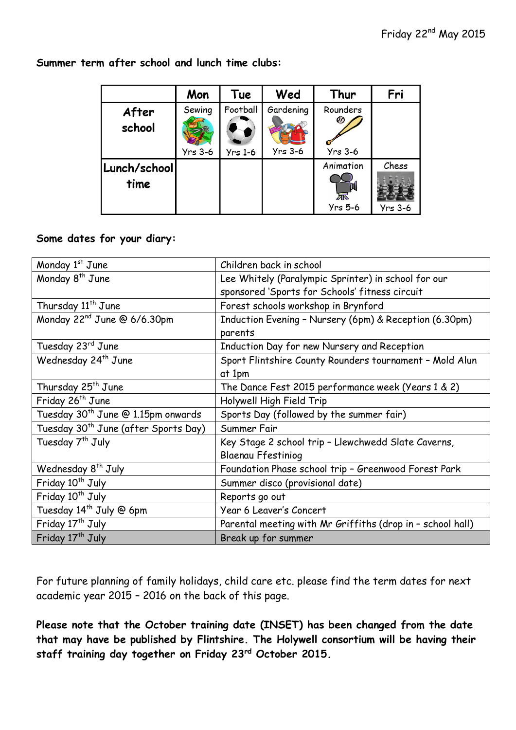|                      | Mon                      | Tue                        | Wed                         | Thur                        | Fri                     |
|----------------------|--------------------------|----------------------------|-----------------------------|-----------------------------|-------------------------|
| After<br>school      | Sewing<br><b>Yrs 3-6</b> | Football<br><b>Yrs 1-6</b> | Gardening<br><b>Yrs 3-6</b> | Rounders<br><b>Yrs 3-6</b>  |                         |
| Lunch/school<br>time |                          |                            |                             | Animation<br><b>Yrs 5-6</b> | Chess<br><b>Yrs 3-6</b> |

**Summer term after school and lunch time clubs:**

## **Some dates for your diary:**

| Monday 1st June                                  | Children back in school                                    |  |  |
|--------------------------------------------------|------------------------------------------------------------|--|--|
| Monday 8 <sup>th</sup> June                      | Lee Whitely (Paralympic Sprinter) in school for our        |  |  |
|                                                  | sponsored 'Sports for Schools' fitness circuit             |  |  |
| Thursday 11 <sup>th</sup> June                   | Forest schools workshop in Brynford                        |  |  |
| Monday 22 <sup>nd</sup> June @ 6/6.30pm          | Induction Evening - Nursery (6pm) & Reception (6.30pm)     |  |  |
|                                                  | parents                                                    |  |  |
| Tuesday 23rd June                                | Induction Day for new Nursery and Reception                |  |  |
| Wednesday 24 <sup>th</sup> June                  | Sport Flintshire County Rounders tournament - Mold Alun    |  |  |
|                                                  | at 1pm                                                     |  |  |
| Thursday 25 <sup>th</sup> June                   | The Dance Fest 2015 performance week (Years 1 & 2)         |  |  |
| Friday 26 <sup>th</sup> June                     | Holywell High Field Trip                                   |  |  |
| Tuesday 30 <sup>th</sup> June @ 1.15pm onwards   | Sports Day (followed by the summer fair)                   |  |  |
| Tuesday 30 <sup>th</sup> June (after Sports Day) | Summer Fair                                                |  |  |
| Tuesday 7 <sup>th</sup> July                     | Key Stage 2 school trip - Llewchwedd Slate Caverns,        |  |  |
|                                                  | <b>Blaenau Ffestiniog</b>                                  |  |  |
| Wednesday 8 <sup>th</sup> July                   | Foundation Phase school trip - Greenwood Forest Park       |  |  |
| Friday 10 <sup>th</sup> July                     | Summer disco (provisional date)                            |  |  |
| Friday 10 <sup>th</sup> July                     | Reports go out                                             |  |  |
| Tuesday 14 <sup>th</sup> July @ 6pm              | Year 6 Leaver's Concert                                    |  |  |
| Friday 17 <sup>th</sup> July                     | Parental meeting with Mr Griffiths (drop in - school hall) |  |  |
| Friday 17 <sup>th</sup> July                     | Break up for summer                                        |  |  |

For future planning of family holidays, child care etc. please find the term dates for next academic year 2015 – 2016 on the back of this page.

**Please note that the October training date (INSET) has been changed from the date that may have be published by Flintshire. The Holywell consortium will be having their staff training day together on Friday 23rd October 2015.**